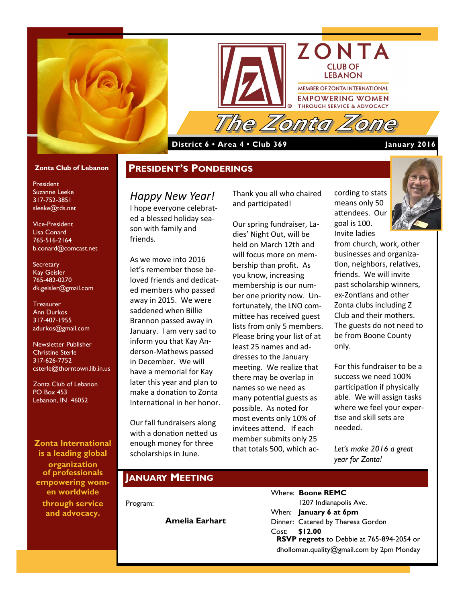



#### **District 6 • Area 4 • Club 369 January 2016**

#### **Zonta Club of Lebanon**

President Suzanne Leeke 317-752-3851 sleeke@tds.net

Vice-President Lisa Conard 765-516-2164 b.conard@comcast.net

#### **Secretary** Kay Geisler 765-482-0270 dk.geisler@gmail.com

**Treasurer** Ann Durkos 317-407-1955 adurkos@gmail.com

Newsletter Publisher Christine Sterle 317-626-7752 csterle@thorntown.lib.in.us

Zonta Club of Lebanon PO Box 453 Lebanon, IN 46052

**Zonta International is a leading global organization of professionals empowering women worldwide** 

**through service and advocacy.**

# **PRESIDENT'S PONDERINGS**

*Happy New Year!*  I hope everyone celebrated a blessed holiday season with family and friends.

As we move into 2016 let's remember those beloved friends and dedicated members who passed away in 2015. We were saddened when Billie Brannon passed away in January. I am very sad to inform you that Kay Anderson-Mathews passed in December. We will have a memorial for Kay later this year and plan to make a donation to Zonta International in her honor.

Our fall fundraisers along with a donation netted us enough money for three scholarships in June.

Thank you all who chaired and participated!

Our spring fundraiser, Ladies' Night Out, will be held on March 12th and will focus more on membership than profit. As you know, increasing membership is our number one priority now. Unfortunately, the LNO committee has received guest lists from only 5 members. Please bring your list of at least 25 names and addresses to the January meeting. We realize that there may be overlap in names so we need as many potential guests as possible. As noted for most events only 10% of invitees attend. If each member submits only 25 that totals 500, which according to stats means only 50 attendees. Our goal is 100. Invite ladies



from church, work, other businesses and organization, neighbors, relatives, friends. We will invite past scholarship winners, ex-Zontians and other Zonta clubs including Z Club and their mothers. The guests do not need to be from Boone County only.

For this fundraiser to be a success we need 100% participation if physically able. We will assign tasks where we feel your expertise and skill sets are needed.

*Let's make 2016 a great year for Zonta!* 

### **JANUARY MEETING**

Program:

**Amelia Earhart**

Where: **Boone REMC** 1207 Indianapolis Ave. When: **January 6 at 6pm** Dinner: Catered by Theresa Gordon Cost: **\$12.00 RSVP regrets** to Debbie at 765-894-2054 or dholloman.quality@gmail.com by 2pm Monday